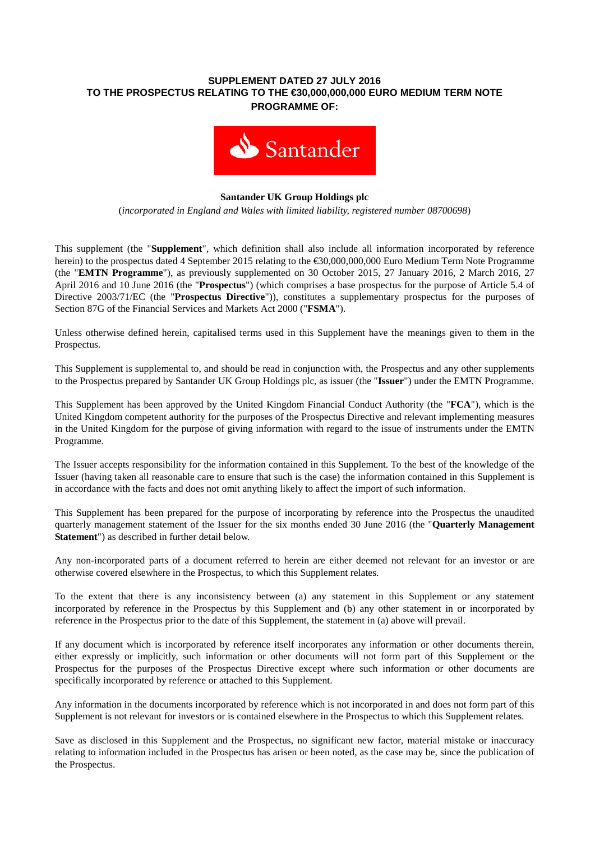## **SUPPLEMENT DATED 27 JULY 2016 TO THE PROSPECTUS RELATING TO THE €30,000,000,000 EURO MEDIUM TERM NOTE PROGRAMME OF:**



## **Santander UK Group Holdings plc**

(*incorporated in England and Wales with limited liability, registered number 08700698*)

This supplement (the "**Supplement**", which definition shall also include all information incorporated by reference herein) to the prospectus dated 4 September 2015 relating to the €30,000,000,000 Euro Medium Term Note Programme (the "**EMTN Programme**"), as previously supplemented on 30 October 2015, 27 January 2016, 2 March 2016, 27 April 2016 and 10 June 2016 (the "**Prospectus**") (which comprises a base prospectus for the purpose of Article 5.4 of Directive 2003/71/EC (the "**Prospectus Directive**")), constitutes a supplementary prospectus for the purposes of Section 87G of the Financial Services and Markets Act 2000 ("**FSMA**").

Unless otherwise defined herein, capitalised terms used in this Supplement have the meanings given to them in the Prospectus.

This Supplement is supplemental to, and should be read in conjunction with, the Prospectus and any other supplements to the Prospectus prepared by Santander UK Group Holdings plc, as issuer (the "**Issuer**") under the EMTN Programme.

This Supplement has been approved by the United Kingdom Financial Conduct Authority (the "**FCA**"), which is the United Kingdom competent authority for the purposes of the Prospectus Directive and relevant implementing measures in the United Kingdom for the purpose of giving information with regard to the issue of instruments under the EMTN Programme.

The Issuer accepts responsibility for the information contained in this Supplement. To the best of the knowledge of the Issuer (having taken all reasonable care to ensure that such is the case) the information contained in this Supplement is in accordance with the facts and does not omit anything likely to affect the import of such information.

This Supplement has been prepared for the purpose of incorporating by reference into the Prospectus the unaudited quarterly management statement of the Issuer for the six months ended 30 June 2016 (the "**Quarterly Management Statement**") as described in further detail below.

Any non-incorporated parts of a document referred to herein are either deemed not relevant for an investor or are otherwise covered elsewhere in the Prospectus, to which this Supplement relates.

To the extent that there is any inconsistency between (a) any statement in this Supplement or any statement incorporated by reference in the Prospectus by this Supplement and (b) any other statement in or incorporated by reference in the Prospectus prior to the date of this Supplement, the statement in (a) above will prevail.

If any document which is incorporated by reference itself incorporates any information or other documents therein, either expressly or implicitly, such information or other documents will not form part of this Supplement or the Prospectus for the purposes of the Prospectus Directive except where such information or other documents are specifically incorporated by reference or attached to this Supplement.

Any information in the documents incorporated by reference which is not incorporated in and does not form part of this Supplement is not relevant for investors or is contained elsewhere in the Prospectus to which this Supplement relates.

Save as disclosed in this Supplement and the Prospectus, no significant new factor, material mistake or inaccuracy relating to information included in the Prospectus has arisen or been noted, as the case may be, since the publication of the Prospectus.